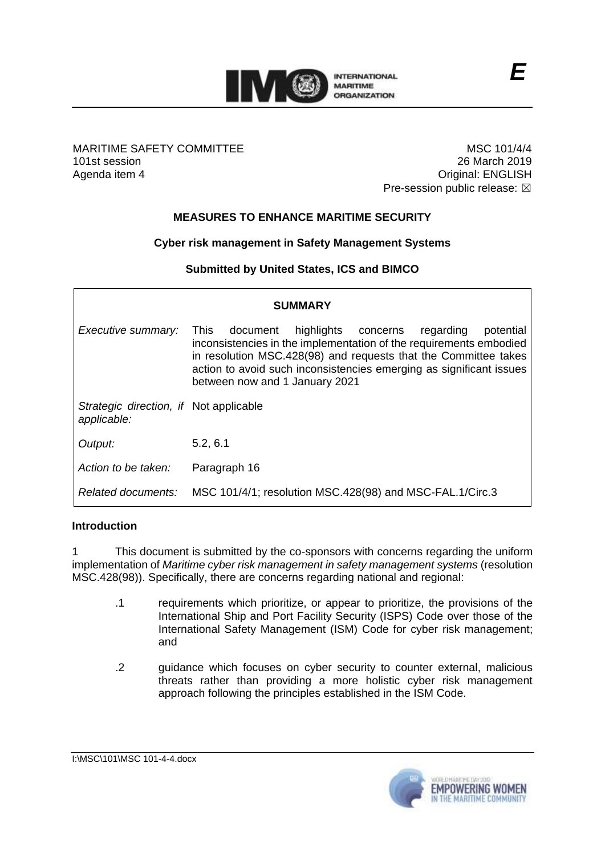

## MARITIME SAFETY COMMITTEE 101st session Agenda item 4

MSC 101/4/4 26 March 2019 Original: ENGLISH Pre-session public release:  $\boxtimes$ 

# **MEASURES TO ENHANCE MARITIME SECURITY**

# **Cyber risk management in Safety Management Systems**

## **Submitted by United States, ICS and BIMCO**

| <b>SUMMARY</b>                                        |                                                                                                                                                                                                                                                                                                                  |
|-------------------------------------------------------|------------------------------------------------------------------------------------------------------------------------------------------------------------------------------------------------------------------------------------------------------------------------------------------------------------------|
| Executive summary:                                    | potential<br>highlights concerns<br>This document<br>regarding<br>inconsistencies in the implementation of the requirements embodied<br>in resolution MSC.428(98) and requests that the Committee takes<br>action to avoid such inconsistencies emerging as significant issues<br>between now and 1 January 2021 |
| Strategic direction, if Not applicable<br>applicable: |                                                                                                                                                                                                                                                                                                                  |
| Output:                                               | 5.2, 6.1                                                                                                                                                                                                                                                                                                         |
| Action to be taken:                                   | Paragraph 16                                                                                                                                                                                                                                                                                                     |
| Related documents:                                    | MSC 101/4/1; resolution MSC.428(98) and MSC-FAL.1/Circ.3                                                                                                                                                                                                                                                         |

#### **Introduction**

1 This document is submitted by the co-sponsors with concerns regarding the uniform implementation of *Maritime cyber risk management in safety management systems* (resolution MSC.428(98)). Specifically, there are concerns regarding national and regional:

- .1 requirements which prioritize, or appear to prioritize, the provisions of the International Ship and Port Facility Security (ISPS) Code over those of the International Safety Management (ISM) Code for cyber risk management; and
- .2 guidance which focuses on cyber security to counter external, malicious threats rather than providing a more holistic cyber risk management approach following the principles established in the ISM Code.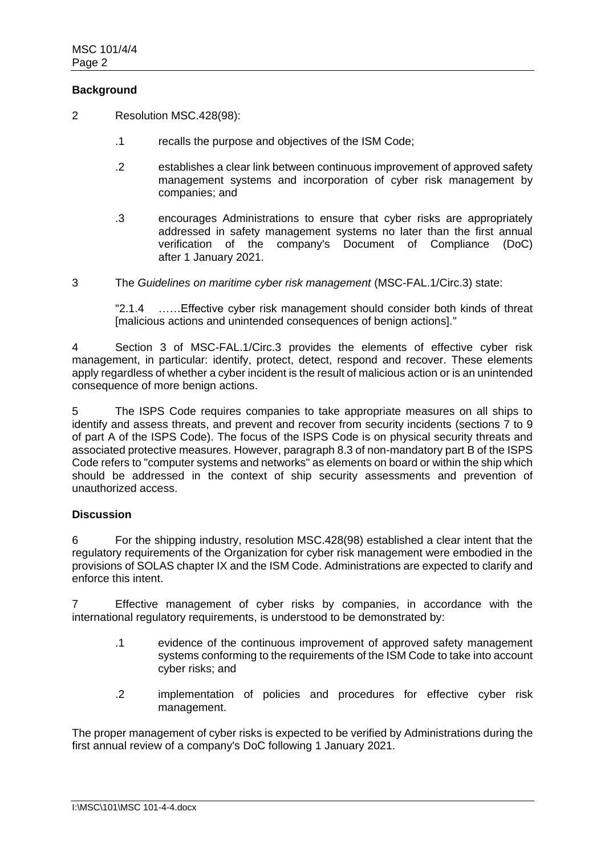## **Background**

- 2 Resolution MSC.428(98):
	- .1 recalls the purpose and objectives of the ISM Code;
	- .2 establishes a clear link between continuous improvement of approved safety management systems and incorporation of cyber risk management by companies; and
	- .3 encourages Administrations to ensure that cyber risks are appropriately addressed in safety management systems no later than the first annual verification of the company's Document of Compliance (DoC) after 1 January 2021.
- 3 The *Guidelines on maritime cyber risk management* (MSC-FAL.1/Circ.3) state:

"2.1.4 ……Effective cyber risk management should consider both kinds of threat [malicious actions and unintended consequences of benign actions]."

4 Section 3 of MSC-FAL.1/Circ.3 provides the elements of effective cyber risk management, in particular: identify, protect, detect, respond and recover. These elements apply regardless of whether a cyber incident is the result of malicious action or is an unintended consequence of more benign actions.

5 The ISPS Code requires companies to take appropriate measures on all ships to identify and assess threats, and prevent and recover from security incidents (sections 7 to 9 of part A of the ISPS Code). The focus of the ISPS Code is on physical security threats and associated protective measures. However, paragraph 8.3 of non-mandatory part B of the ISPS Code refers to "computer systems and networks" as elements on board or within the ship which should be addressed in the context of ship security assessments and prevention of unauthorized access.

#### **Discussion**

6 For the shipping industry, resolution MSC.428(98) established a clear intent that the regulatory requirements of the Organization for cyber risk management were embodied in the provisions of SOLAS chapter IX and the ISM Code. Administrations are expected to clarify and enforce this intent.

7 Effective management of cyber risks by companies, in accordance with the international regulatory requirements, is understood to be demonstrated by:

- .1 evidence of the continuous improvement of approved safety management systems conforming to the requirements of the ISM Code to take into account cyber risks; and
- .2 implementation of policies and procedures for effective cyber risk management.

The proper management of cyber risks is expected to be verified by Administrations during the first annual review of a company's DoC following 1 January 2021.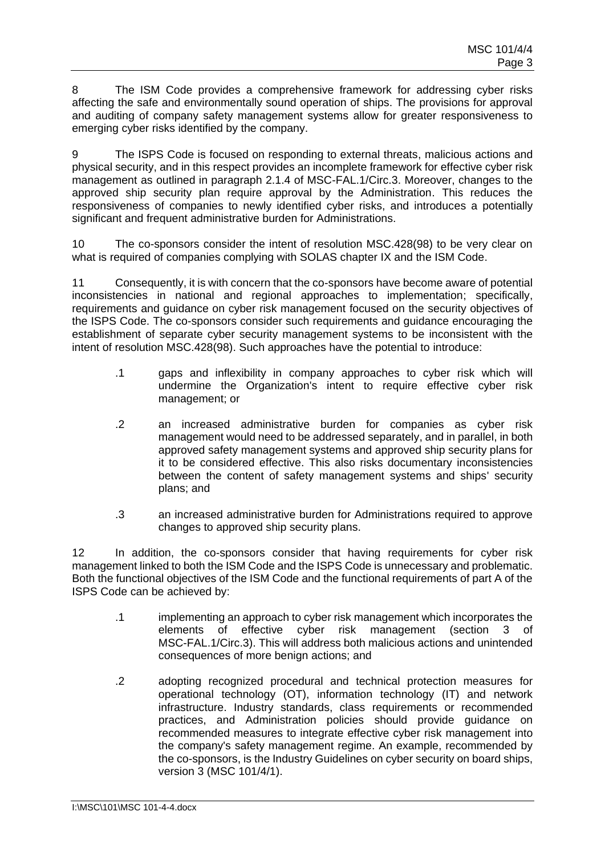8 The ISM Code provides a comprehensive framework for addressing cyber risks affecting the safe and environmentally sound operation of ships. The provisions for approval and auditing of company safety management systems allow for greater responsiveness to emerging cyber risks identified by the company.

9 The ISPS Code is focused on responding to external threats, malicious actions and physical security, and in this respect provides an incomplete framework for effective cyber risk management as outlined in paragraph 2.1.4 of MSC-FAL.1/Circ.3. Moreover, changes to the approved ship security plan require approval by the Administration. This reduces the responsiveness of companies to newly identified cyber risks, and introduces a potentially significant and frequent administrative burden for Administrations.

10 The co-sponsors consider the intent of resolution MSC.428(98) to be very clear on what is required of companies complying with SOLAS chapter IX and the ISM Code.

11 Consequently, it is with concern that the co-sponsors have become aware of potential inconsistencies in national and regional approaches to implementation; specifically, requirements and guidance on cyber risk management focused on the security objectives of the ISPS Code. The co-sponsors consider such requirements and guidance encouraging the establishment of separate cyber security management systems to be inconsistent with the intent of resolution MSC.428(98). Such approaches have the potential to introduce:

- .1 gaps and inflexibility in company approaches to cyber risk which will undermine the Organization's intent to require effective cyber risk management; or
- .2 an increased administrative burden for companies as cyber risk management would need to be addressed separately, and in parallel, in both approved safety management systems and approved ship security plans for it to be considered effective. This also risks documentary inconsistencies between the content of safety management systems and ships' security plans; and
- .3 an increased administrative burden for Administrations required to approve changes to approved ship security plans.

12 In addition, the co-sponsors consider that having requirements for cyber risk management linked to both the ISM Code and the ISPS Code is unnecessary and problematic. Both the functional objectives of the ISM Code and the functional requirements of part A of the ISPS Code can be achieved by:

- .1 implementing an approach to cyber risk management which incorporates the elements of effective cyber risk management (section 3 of MSC-FAL.1/Circ.3). This will address both malicious actions and unintended consequences of more benign actions; and
- .2 adopting recognized procedural and technical protection measures for operational technology (OT), information technology (IT) and network infrastructure. Industry standards, class requirements or recommended practices, and Administration policies should provide guidance on recommended measures to integrate effective cyber risk management into the company's safety management regime. An example, recommended by the co-sponsors, is the Industry Guidelines on cyber security on board ships, version 3 (MSC 101/4/1).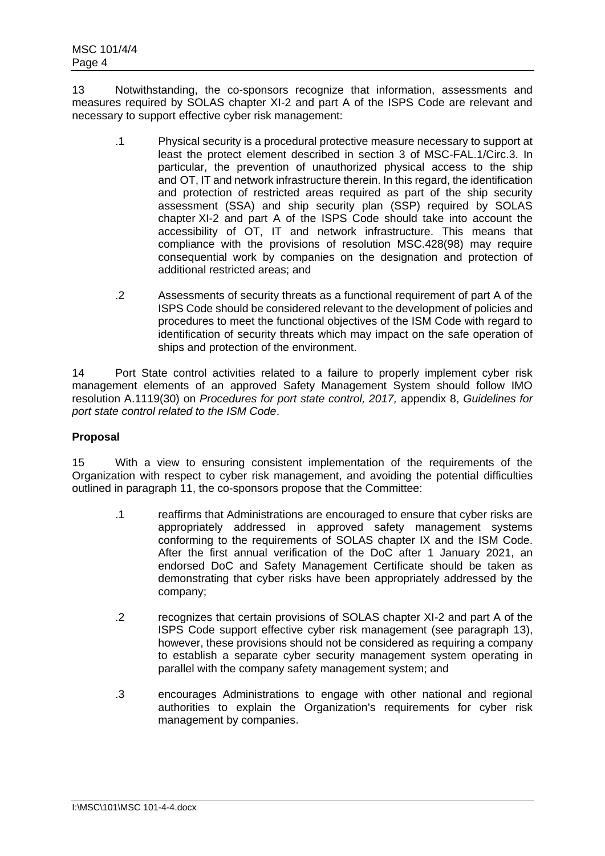13 Notwithstanding, the co-sponsors recognize that information, assessments and measures required by SOLAS chapter XI-2 and part A of the ISPS Code are relevant and necessary to support effective cyber risk management:

- .1 Physical security is a procedural protective measure necessary to support at least the protect element described in section 3 of MSC-FAL.1/Circ.3. In particular, the prevention of unauthorized physical access to the ship and OT, IT and network infrastructure therein. In this regard, the identification and protection of restricted areas required as part of the ship security assessment (SSA) and ship security plan (SSP) required by SOLAS chapter XI-2 and part A of the ISPS Code should take into account the accessibility of OT, IT and network infrastructure. This means that compliance with the provisions of resolution MSC.428(98) may require consequential work by companies on the designation and protection of additional restricted areas; and
- .2 Assessments of security threats as a functional requirement of part A of the ISPS Code should be considered relevant to the development of policies and procedures to meet the functional objectives of the ISM Code with regard to identification of security threats which may impact on the safe operation of ships and protection of the environment.

14 Port State control activities related to a failure to properly implement cyber risk management elements of an approved Safety Management System should follow IMO resolution A.1119(30) on *Procedures for port state control, 2017,* appendix 8, *Guidelines for port state control related to the ISM Code*.

#### **Proposal**

15 With a view to ensuring consistent implementation of the requirements of the Organization with respect to cyber risk management, and avoiding the potential difficulties outlined in paragraph 11, the co-sponsors propose that the Committee:

- .1 reaffirms that Administrations are encouraged to ensure that cyber risks are appropriately addressed in approved safety management systems conforming to the requirements of SOLAS chapter IX and the ISM Code. After the first annual verification of the DoC after 1 January 2021, an endorsed DoC and Safety Management Certificate should be taken as demonstrating that cyber risks have been appropriately addressed by the company;
- .2 recognizes that certain provisions of SOLAS chapter XI-2 and part A of the ISPS Code support effective cyber risk management (see paragraph 13), however, these provisions should not be considered as requiring a company to establish a separate cyber security management system operating in parallel with the company safety management system; and
- .3 encourages Administrations to engage with other national and regional authorities to explain the Organization's requirements for cyber risk management by companies.